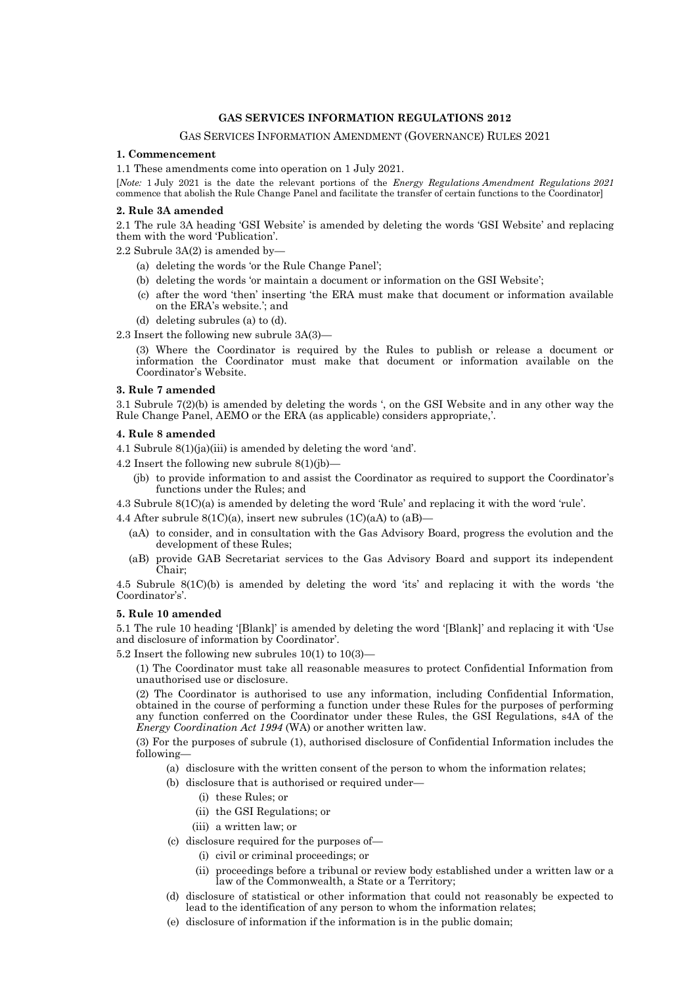# **GAS SERVICES INFORMATION REGULATIONS 2012**

# GAS SERVICES INFORMATION AMENDMENT (GOVERNANCE) RULES 2021

# **1. Commencement**

1.1 These amendments come into operation on 1 July 2021.

[*Note:* 1 July 2021 is the date the relevant portions of the *Energy Regulations Amendment Regulations 2021* commence that abolish the Rule Change Panel and facilitate the transfer of certain functions to the Coordinator]

#### **2. Rule 3A amended**

2.1 The rule 3A heading 'GSI Website' is amended by deleting the words 'GSI Website' and replacing them with the word 'Publication'.

2.2 Subrule 3A(2) is amended by—

- (a) deleting the words 'or the Rule Change Panel';
- (b) deleting the words 'or maintain a document or information on the GSI Website';
- (c) after the word 'then' inserting 'the ERA must make that document or information available on the ERA's website.'; and
- (d) deleting subrules (a) to (d).
- 2.3 Insert the following new subrule 3A(3)—

(3) Where the Coordinator is required by the Rules to publish or release a document or information the Coordinator must make that document or information available on the Coordinator's Website.

# **3. Rule 7 amended**

3.1 Subrule 7(2)(b) is amended by deleting the words ', on the GSI Website and in any other way the Rule Change Panel, AEMO or the ERA (as applicable) considers appropriate,'.

#### **4. Rule 8 amended**

4.1 Subrule 8(1)(ja)(iii) is amended by deleting the word 'and'.

- 4.2 Insert the following new subrule  $8(1)(ib)$ 
	- (jb) to provide information to and assist the Coordinator as required to support the Coordinator's functions under the Rules; and

4.3 Subrule 8(1C)(a) is amended by deleting the word 'Rule' and replacing it with the word 'rule'.

4.4 After subrule  $8(1C)(a)$ , insert new subrules  $(1C)(aA)$  to  $(aB)$ -

- (aA) to consider, and in consultation with the Gas Advisory Board, progress the evolution and the development of these Rules;
- (aB) provide GAB Secretariat services to the Gas Advisory Board and support its independent Chair;

4.5 Subrule 8(1C)(b) is amended by deleting the word 'its' and replacing it with the words 'the Coordinator's'.

# **5. Rule 10 amended**

5.1 The rule 10 heading '[Blank]' is amended by deleting the word '[Blank]' and replacing it with 'Use and disclosure of information by Coordinator'.

5.2 Insert the following new subrules 10(1) to 10(3)—

(1) The Coordinator must take all reasonable measures to protect Confidential Information from unauthorised use or disclosure.

(2) The Coordinator is authorised to use any information, including Confidential Information, obtained in the course of performing a function under these Rules for the purposes of performing any function conferred on the Coordinator under these Rules, the GSI Regulations, s4A of the *Energy Coordination Act 1994* (WA) or another written law.

(3) For the purposes of subrule (1), authorised disclosure of Confidential Information includes the following—

- (a) disclosure with the written consent of the person to whom the information relates;
- (b) disclosure that is authorised or required under—
	- (i) these Rules; or
	- (ii) the GSI Regulations; or
	- (iii) a written law; or
- (c) disclosure required for the purposes of—
	- (i) civil or criminal proceedings; or
	- (ii) proceedings before a tribunal or review body established under a written law or a law of the Commonwealth, a State or a Territory;
- (d) disclosure of statistical or other information that could not reasonably be expected to lead to the identification of any person to whom the information relates;
- (e) disclosure of information if the information is in the public domain;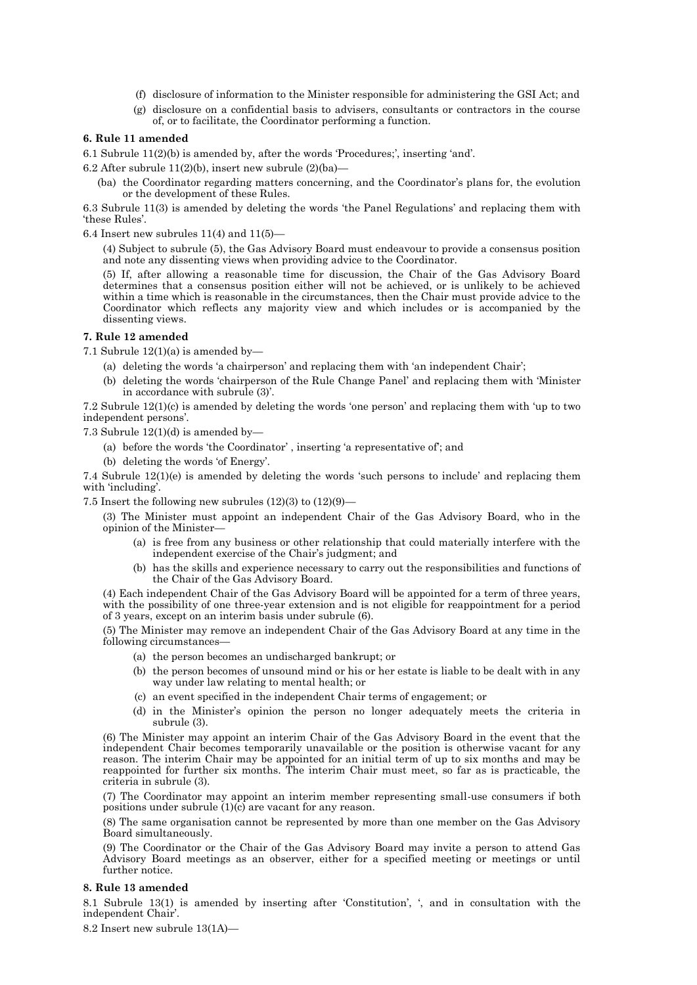- (f) disclosure of information to the Minister responsible for administering the GSI Act; and
- (g) disclosure on a confidential basis to advisers, consultants or contractors in the course of, or to facilitate, the Coordinator performing a function.

# **6. Rule 11 amended**

6.1 Subrule 11(2)(b) is amended by, after the words 'Procedures;', inserting 'and'.

6.2 After subrule  $11(2)(b)$ , insert new subrule  $(2)(ba)$ —

(ba) the Coordinator regarding matters concerning, and the Coordinator's plans for, the evolution or the development of these Rules.

6.3 Subrule 11(3) is amended by deleting the words 'the Panel Regulations' and replacing them with 'these Rules'.

6.4 Insert new subrules  $11(4)$  and  $11(5)$ —

(4) Subject to subrule (5), the Gas Advisory Board must endeavour to provide a consensus position and note any dissenting views when providing advice to the Coordinator.

(5) If, after allowing a reasonable time for discussion, the Chair of the Gas Advisory Board determines that a consensus position either will not be achieved, or is unlikely to be achieved within a time which is reasonable in the circumstances, then the Chair must provide advice to the Coordinator which reflects any majority view and which includes or is accompanied by the dissenting views.

# **7. Rule 12 amended**

7.1 Subrule  $12(1)(a)$  is amended by-

- (a) deleting the words 'a chairperson' and replacing them with 'an independent Chair';
- (b) deleting the words 'chairperson of the Rule Change Panel' and replacing them with 'Minister in accordance with subrule (3)'.

7.2 Subrule 12(1)(c) is amended by deleting the words 'one person' and replacing them with 'up to two independent persons'.

7.3 Subrule  $12(1)(d)$  is amended by-

- (a) before the words 'the Coordinator' , inserting 'a representative of'; and
- (b) deleting the words 'of Energy'.

7.4 Subrule 12(1)(e) is amended by deleting the words 'such persons to include' and replacing them with 'including'.

7.5 Insert the following new subrules  $(12)(3)$  to  $(12)(9)$ —

(3) The Minister must appoint an independent Chair of the Gas Advisory Board, who in the opinion of the Minister—

- (a) is free from any business or other relationship that could materially interfere with the independent exercise of the Chair's judgment; and
- (b) has the skills and experience necessary to carry out the responsibilities and functions of the Chair of the Gas Advisory Board.

(4) Each independent Chair of the Gas Advisory Board will be appointed for a term of three years, with the possibility of one three-year extension and is not eligible for reappointment for a period of 3 years, except on an interim basis under subrule (6).

(5) The Minister may remove an independent Chair of the Gas Advisory Board at any time in the following circumstances—

- (a) the person becomes an undischarged bankrupt; or
- (b) the person becomes of unsound mind or his or her estate is liable to be dealt with in any way under law relating to mental health; or
- (c) an event specified in the independent Chair terms of engagement; or
- (d) in the Minister's opinion the person no longer adequately meets the criteria in subrule (3).

(6) The Minister may appoint an interim Chair of the Gas Advisory Board in the event that the independent Chair becomes temporarily unavailable or the position is otherwise vacant for any reason. The interim Chair may be appointed for an initial term of up to six months and may be reappointed for further six months. The interim Chair must meet, so far as is practicable, the criteria in subrule (3).

(7) The Coordinator may appoint an interim member representing small-use consumers if both positions under subrule (1)(c) are vacant for any reason.

(8) The same organisation cannot be represented by more than one member on the Gas Advisory Board simultaneously.

(9) The Coordinator or the Chair of the Gas Advisory Board may invite a person to attend Gas Advisory Board meetings as an observer, either for a specified meeting or meetings or until further notice.

#### **8. Rule 13 amended**

8.1 Subrule 13(1) is amended by inserting after 'Constitution', ', and in consultation with the independent Chair'.

8.2 Insert new subrule 13(1A)—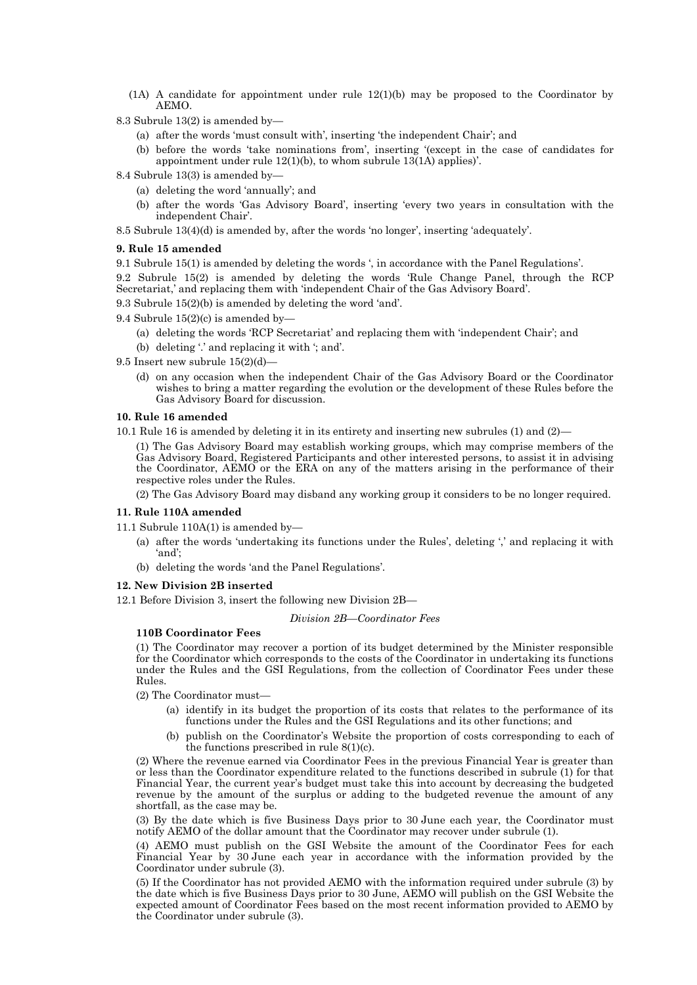- $(1)$  A candidate for appointment under rule  $12(1)$ (b) may be proposed to the Coordinator by AEMO.
- 8.3 Subrule 13(2) is amended by—
	- (a) after the words 'must consult with', inserting 'the independent Chair'; and
	- (b) before the words 'take nominations from', inserting '(except in the case of candidates for appointment under rule 12(1)(b), to whom subrule 13(1A) applies)'.
- 8.4 Subrule 13(3) is amended by—
	- (a) deleting the word 'annually'; and
	- (b) after the words 'Gas Advisory Board', inserting 'every two years in consultation with the independent Chair'.

8.5 Subrule 13(4)(d) is amended by, after the words 'no longer', inserting 'adequately'.

# **9. Rule 15 amended**

9.1 Subrule 15(1) is amended by deleting the words ', in accordance with the Panel Regulations'.

9.2 Subrule 15(2) is amended by deleting the words 'Rule Change Panel, through the RCP Secretariat,' and replacing them with 'independent Chair of the Gas Advisory Board'.

9.3 Subrule 15(2)(b) is amended by deleting the word 'and'.

9.4 Subrule  $15(2)$ (c) is amended by-

(a) deleting the words 'RCP Secretariat' and replacing them with 'independent Chair'; and

(b) deleting '.' and replacing it with '; and'.

- 9.5 Insert new subrule 15(2)(d)—
	- (d) on any occasion when the independent Chair of the Gas Advisory Board or the Coordinator wishes to bring a matter regarding the evolution or the development of these Rules before the Gas Advisory Board for discussion.

#### **10. Rule 16 amended**

10.1 Rule 16 is amended by deleting it in its entirety and inserting new subrules (1) and (2)—

(1) The Gas Advisory Board may establish working groups, which may comprise members of the Gas Advisory Board, Registered Participants and other interested persons, to assist it in advising the Coordinator, AEMO or the ERA on any of the matters arising in the performance of their respective roles under the Rules.

(2) The Gas Advisory Board may disband any working group it considers to be no longer required.

#### **11. Rule 110A amended**

- 11.1 Subrule 110A(1) is amended by—
	- (a) after the words 'undertaking its functions under the Rules', deleting ',' and replacing it with 'and';
	- (b) deleting the words 'and the Panel Regulations'.

#### **12. New Division 2B inserted**

12.1 Before Division 3, insert the following new Division 2B—

# *Division 2B—Coordinator Fees*

# **110B Coordinator Fees**

(1) The Coordinator may recover a portion of its budget determined by the Minister responsible for the Coordinator which corresponds to the costs of the Coordinator in undertaking its functions under the Rules and the GSI Regulations, from the collection of Coordinator Fees under these Rules.

(2) The Coordinator must-

- (a) identify in its budget the proportion of its costs that relates to the performance of its functions under the Rules and the GSI Regulations and its other functions; and
- (b) publish on the Coordinator's Website the proportion of costs corresponding to each of the functions prescribed in rule  $8(1)(c)$ .

(2) Where the revenue earned via Coordinator Fees in the previous Financial Year is greater than or less than the Coordinator expenditure related to the functions described in subrule (1) for that Financial Year, the current year's budget must take this into account by decreasing the budgeted revenue by the amount of the surplus or adding to the budgeted revenue the amount of any shortfall, as the case may be.

(3) By the date which is five Business Days prior to 30 June each year, the Coordinator must notify AEMO of the dollar amount that the Coordinator may recover under subrule (1).

(4) AEMO must publish on the GSI Website the amount of the Coordinator Fees for each Financial Year by 30 June each year in accordance with the information provided by the Coordinator under subrule (3).

(5) If the Coordinator has not provided AEMO with the information required under subrule (3) by the date which is five Business Days prior to 30 June, AEMO will publish on the GSI Website the expected amount of Coordinator Fees based on the most recent information provided to AEMO by the Coordinator under subrule (3).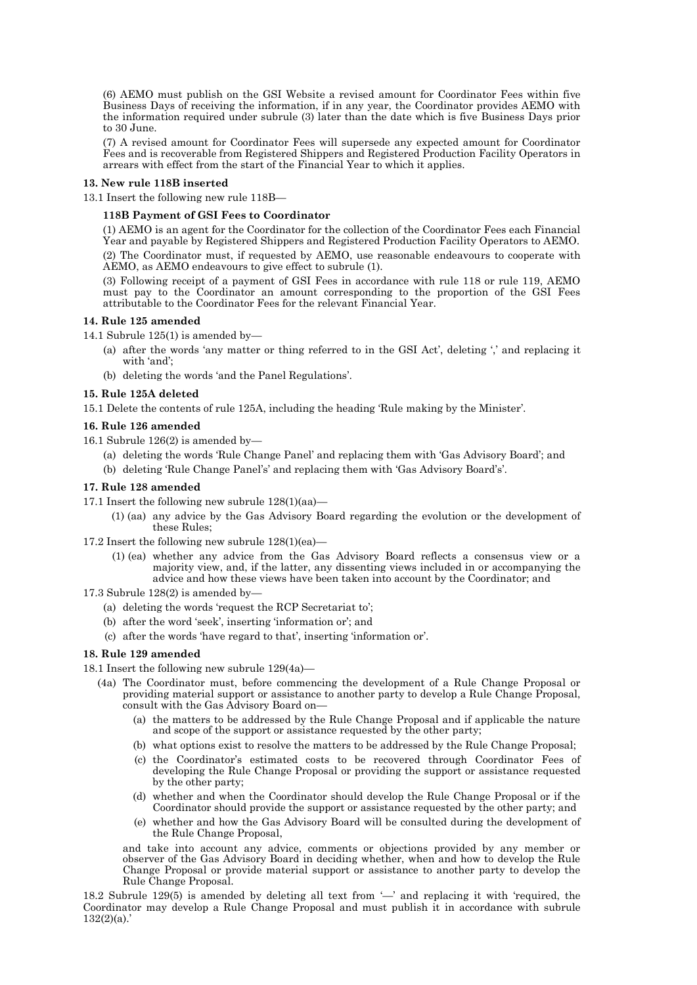(6) AEMO must publish on the GSI Website a revised amount for Coordinator Fees within five Business Days of receiving the information, if in any year, the Coordinator provides AEMO with the information required under subrule (3) later than the date which is five Business Days prior to 30 June.

(7) A revised amount for Coordinator Fees will supersede any expected amount for Coordinator Fees and is recoverable from Registered Shippers and Registered Production Facility Operators in arrears with effect from the start of the Financial Year to which it applies.

# **13. New rule 118B inserted**

13.1 Insert the following new rule 118B—

# **118B Payment of GSI Fees to Coordinator**

(1) AEMO is an agent for the Coordinator for the collection of the Coordinator Fees each Financial Year and payable by Registered Shippers and Registered Production Facility Operators to AEMO. (2) The Coordinator must, if requested by AEMO, use reasonable endeavours to cooperate with AEMO, as AEMO endeavours to give effect to subrule (1).

(3) Following receipt of a payment of GSI Fees in accordance with rule 118 or rule 119, AEMO must pay to the Coordinator an amount corresponding to the proportion of the GSI Fees attributable to the Coordinator Fees for the relevant Financial Year.

#### **14. Rule 125 amended**

14.1 Subrule 125(1) is amended by—

- (a) after the words 'any matter or thing referred to in the GSI Act', deleting ',' and replacing it with 'and';
- (b) deleting the words 'and the Panel Regulations'.

# **15. Rule 125A deleted**

15.1 Delete the contents of rule 125A, including the heading 'Rule making by the Minister'.

#### **16. Rule 126 amended**

- 16.1 Subrule 126(2) is amended by—
	- (a) deleting the words 'Rule Change Panel' and replacing them with 'Gas Advisory Board'; and
	- (b) deleting 'Rule Change Panel's' and replacing them with 'Gas Advisory Board's'.

#### **17. Rule 128 amended**

- 17.1 Insert the following new subrule 128(1)(aa)—
	- (1) (aa) any advice by the Gas Advisory Board regarding the evolution or the development of these Rules;
- 17.2 Insert the following new subrule 128(1)(ea)—
	- (1) (ea) whether any advice from the Gas Advisory Board reflects a consensus view or a majority view, and, if the latter, any dissenting views included in or accompanying the advice and how these views have been taken into account by the Coordinator; and
- 17.3 Subrule 128(2) is amended by—
	- (a) deleting the words 'request the RCP Secretariat to';
	- (b) after the word 'seek', inserting 'information or'; and
	- (c) after the words 'have regard to that', inserting 'information or'.

# **18. Rule 129 amended**

- 18.1 Insert the following new subrule 129(4a)—
	- (4a) The Coordinator must, before commencing the development of a Rule Change Proposal or providing material support or assistance to another party to develop a Rule Change Proposal, consult with the Gas Advisory Board on—
		- (a) the matters to be addressed by the Rule Change Proposal and if applicable the nature and scope of the support or assistance requested by the other party;
		- (b) what options exist to resolve the matters to be addressed by the Rule Change Proposal;
		- (c) the Coordinator's estimated costs to be recovered through Coordinator Fees of developing the Rule Change Proposal or providing the support or assistance requested by the other party;
		- (d) whether and when the Coordinator should develop the Rule Change Proposal or if the Coordinator should provide the support or assistance requested by the other party; and
		- (e) whether and how the Gas Advisory Board will be consulted during the development of the Rule Change Proposal,

and take into account any advice, comments or objections provided by any member or observer of the Gas Advisory Board in deciding whether, when and how to develop the Rule Change Proposal or provide material support or assistance to another party to develop the Rule Change Proposal.

18.2 Subrule 129(5) is amended by deleting all text from '—' and replacing it with 'required, the Coordinator may develop a Rule Change Proposal and must publish it in accordance with subrule  $132(2)(a)$ .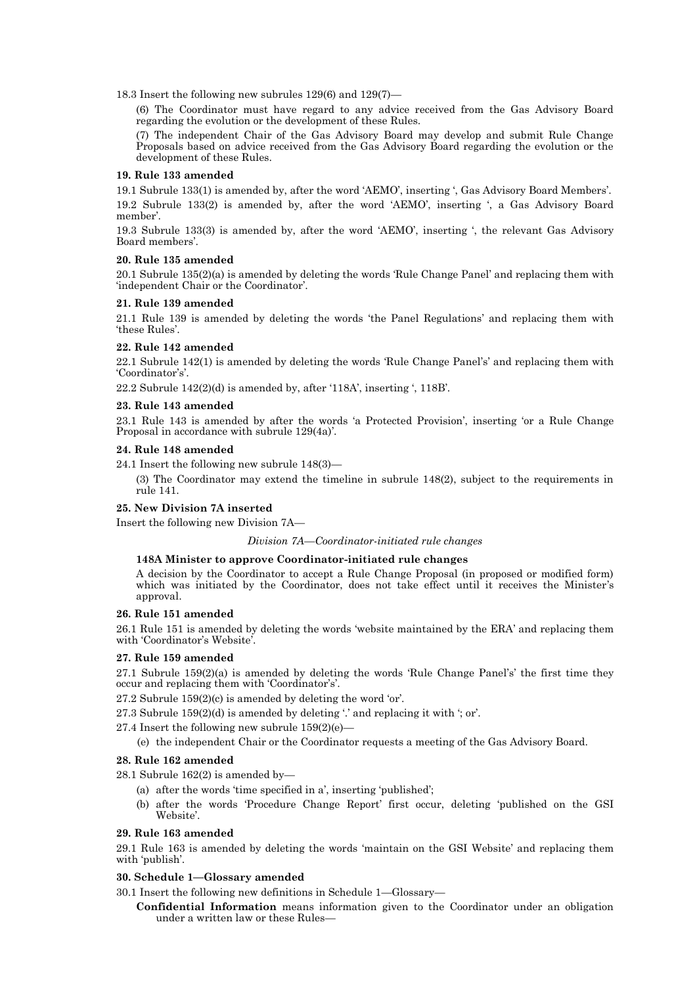18.3 Insert the following new subrules 129(6) and 129(7)—

(6) The Coordinator must have regard to any advice received from the Gas Advisory Board regarding the evolution or the development of these Rules.

(7) The independent Chair of the Gas Advisory Board may develop and submit Rule Change Proposals based on advice received from the Gas Advisory Board regarding the evolution or the development of these Rules.

# **19. Rule 133 amended**

19.1 Subrule 133(1) is amended by, after the word 'AEMO', inserting ', Gas Advisory Board Members'.

19.2 Subrule 133(2) is amended by, after the word 'AEMO', inserting ', a Gas Advisory Board member'.

19.3 Subrule 133(3) is amended by, after the word 'AEMO', inserting ', the relevant Gas Advisory Board members'.

# **20. Rule 135 amended**

20.1 Subrule 135(2)(a) is amended by deleting the words 'Rule Change Panel' and replacing them with 'independent Chair or the Coordinator'.

#### **21. Rule 139 amended**

21.1 Rule 139 is amended by deleting the words 'the Panel Regulations' and replacing them with 'these Rules'.

# **22. Rule 142 amended**

22.1 Subrule 142(1) is amended by deleting the words 'Rule Change Panel's' and replacing them with 'Coordinator's'.

22.2 Subrule 142(2)(d) is amended by, after '118A', inserting ', 118B'.

# **23. Rule 143 amended**

23.1 Rule 143 is amended by after the words 'a Protected Provision', inserting 'or a Rule Change Proposal in accordance with subrule 129(4a)'.

# **24. Rule 148 amended**

24.1 Insert the following new subrule 148(3)—

(3) The Coordinator may extend the timeline in subrule 148(2), subject to the requirements in rule 141.

# **25. New Division 7A inserted**

Insert the following new Division 7A—

*Division 7A—Coordinator-initiated rule changes*

#### **148A Minister to approve Coordinator-initiated rule changes**

A decision by the Coordinator to accept a Rule Change Proposal (in proposed or modified form) which was initiated by the Coordinator, does not take effect until it receives the Minister's approval.

# **26. Rule 151 amended**

26.1 Rule 151 is amended by deleting the words 'website maintained by the ERA' and replacing them with 'Coordinator's Website'.

# **27. Rule 159 amended**

27.1 Subrule 159(2)(a) is amended by deleting the words 'Rule Change Panel's' the first time they occur and replacing them with 'Coordinator's'.

27.2 Subrule 159(2)(c) is amended by deleting the word 'or'.

27.3 Subrule 159(2)(d) is amended by deleting '.' and replacing it with '; or'.

27.4 Insert the following new subrule  $159(2)(e)$ —

(e) the independent Chair or the Coordinator requests a meeting of the Gas Advisory Board.

# **28. Rule 162 amended**

28.1 Subrule 162(2) is amended by—

- (a) after the words 'time specified in a', inserting 'published';
- (b) after the words 'Procedure Change Report' first occur, deleting 'published on the GSI Website'.

# **29. Rule 163 amended**

29.1 Rule 163 is amended by deleting the words 'maintain on the GSI Website' and replacing them with 'publish'.

#### **30. Schedule 1—Glossary amended**

- 30.1 Insert the following new definitions in Schedule 1—Glossary—
	- **Confidential Information** means information given to the Coordinator under an obligation under a written law or these Rules—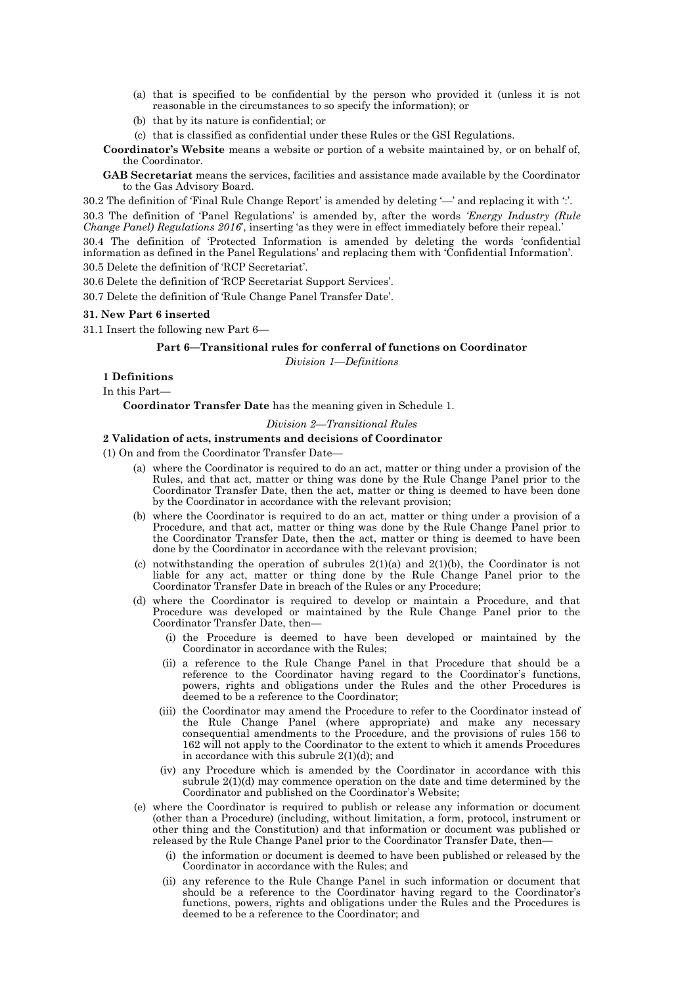- (a) that is specified to be confidential by the person who provided it (unless it is not reasonable in the circumstances to so specify the information); or
- (b) that by its nature is confidential; or
- (c) that is classified as confidential under these Rules or the GSI Regulations.

**Coordinator's Website** means a website or portion of a website maintained by, or on behalf of, the Coordinator.

**GAB Secretariat** means the services, facilities and assistance made available by the Coordinator to the Gas Advisory Board.

30.2 The definition of 'Final Rule Change Report' is amended by deleting '—' and replacing it with ':'. 30.3 The definition of 'Panel Regulations' is amended by, after the words *'Energy Industry (Rule Change Panel) Regulations 2016*', inserting 'as they were in effect immediately before their repeal.'

30.4 The definition of 'Protected Information is amended by deleting the words 'confidential information as defined in the Panel Regulations' and replacing them with 'Confidential Information'. 30.5 Delete the definition of 'RCP Secretariat'.

30.6 Delete the definition of 'RCP Secretariat Support Services'.

30.7 Delete the definition of 'Rule Change Panel Transfer Date'.

#### **31. New Part 6 inserted**

31.1 Insert the following new Part 6—

# **Part 6—Transitional rules for conferral of functions on Coordinator**

*Division 1—Definitions*

# **1 Definitions**

In this Part—

**Coordinator Transfer Date** has the meaning given in Schedule 1.

# *Division 2—Transitional Rules*

# **2 Validation of acts, instruments and decisions of Coordinator**

(1) On and from the Coordinator Transfer Date—

- (a) where the Coordinator is required to do an act, matter or thing under a provision of the Rules, and that act, matter or thing was done by the Rule Change Panel prior to the Coordinator Transfer Date, then the act, matter or thing is deemed to have been done by the Coordinator in accordance with the relevant provision;
- (b) where the Coordinator is required to do an act, matter or thing under a provision of a Procedure, and that act, matter or thing was done by the Rule Change Panel prior to the Coordinator Transfer Date, then the act, matter or thing is deemed to have been done by the Coordinator in accordance with the relevant provision;
- (c) notwithstanding the operation of subrules  $2(1)(a)$  and  $2(1)(b)$ , the Coordinator is not liable for any act, matter or thing done by the Rule Change Panel prior to the Coordinator Transfer Date in breach of the Rules or any Procedure;
- (d) where the Coordinator is required to develop or maintain a Procedure, and that Procedure was developed or maintained by the Rule Change Panel prior to the Coordinator Transfer Date, then—
	- (i) the Procedure is deemed to have been developed or maintained by the Coordinator in accordance with the Rules;
	- (ii) a reference to the Rule Change Panel in that Procedure that should be a reference to the Coordinator having regard to the Coordinator's functions, powers, rights and obligations under the Rules and the other Procedures is deemed to be a reference to the Coordinator;
	- (iii) the Coordinator may amend the Procedure to refer to the Coordinator instead of the Rule Change Panel (where appropriate) and make any necessary consequential amendments to the Procedure, and the provisions of rules 156 to 162 will not apply to the Coordinator to the extent to which it amends Procedures in accordance with this subrule 2(1)(d); and
	- (iv) any Procedure which is amended by the Coordinator in accordance with this subrule 2(1)(d) may commence operation on the date and time determined by the Coordinator and published on the Coordinator's Website;
- (e) where the Coordinator is required to publish or release any information or document (other than a Procedure) (including, without limitation, a form, protocol, instrument or other thing and the Constitution) and that information or document was published or released by the Rule Change Panel prior to the Coordinator Transfer Date, then—
	- (i) the information or document is deemed to have been published or released by the Coordinator in accordance with the Rules; and
	- (ii) any reference to the Rule Change Panel in such information or document that should be a reference to the Coordinator having regard to the Coordinator's functions, powers, rights and obligations under the Rules and the Procedures is deemed to be a reference to the Coordinator; and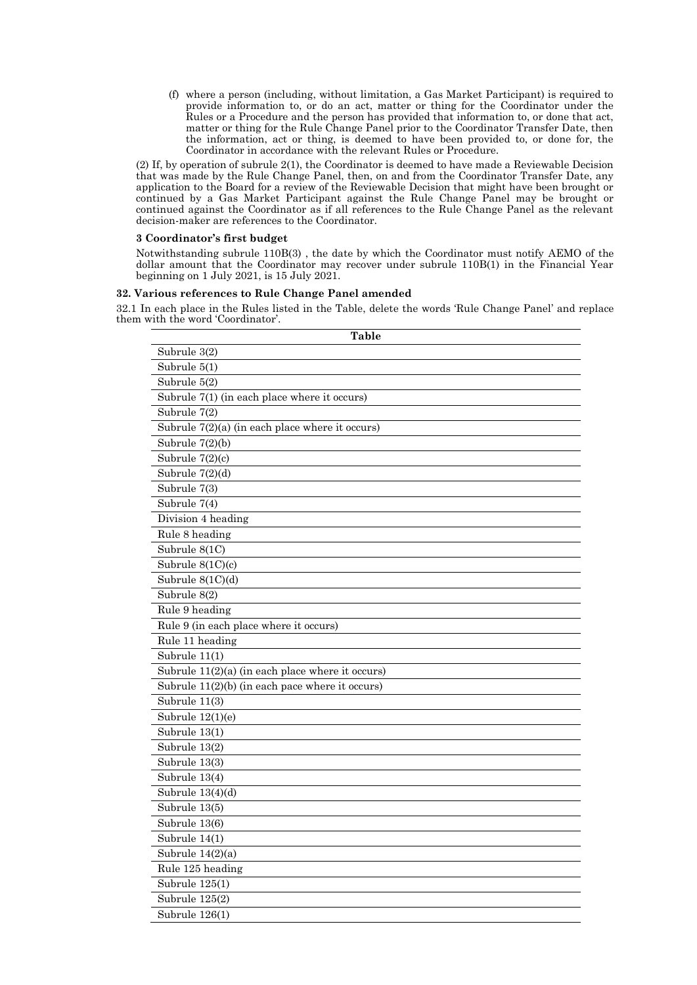(f) where a person (including, without limitation, a Gas Market Participant) is required to provide information to, or do an act, matter or thing for the Coordinator under the Rules or a Procedure and the person has provided that information to, or done that act, matter or thing for the Rule Change Panel prior to the Coordinator Transfer Date, then the information, act or thing, is deemed to have been provided to, or done for, the Coordinator in accordance with the relevant Rules or Procedure.

(2) If, by operation of subrule 2(1), the Coordinator is deemed to have made a Reviewable Decision that was made by the Rule Change Panel, then, on and from the Coordinator Transfer Date, any application to the Board for a review of the Reviewable Decision that might have been brought or continued by a Gas Market Participant against the Rule Change Panel may be brought or continued against the Coordinator as if all references to the Rule Change Panel as the relevant decision-maker are references to the Coordinator.

# **3 Coordinator's first budget**

Notwithstanding subrule 110B(3) , the date by which the Coordinator must notify AEMO of the dollar amount that the Coordinator may recover under subrule 110B(1) in the Financial Year beginning on 1 July 2021, is 15 July 2021.

# **32. Various references to Rule Change Panel amended**

32.1 In each place in the Rules listed in the Table, delete the words 'Rule Change Panel' and replace them with the word 'Coordinator'.

| Table                                              |
|----------------------------------------------------|
| Subrule 3(2)                                       |
| Subrule $5(1)$                                     |
| Subrule 5(2)                                       |
| Subrule $7(1)$ (in each place where it occurs)     |
| Subrule 7(2)                                       |
| Subrule $7(2)(a)$ (in each place where it occurs)  |
| Subrule $7(2)(b)$                                  |
| Subrule 7(2)(c)                                    |
| Subrule $7(2)(d)$                                  |
| Subrule 7(3)                                       |
| Subrule 7(4)                                       |
| Division 4 heading                                 |
| Rule 8 heading                                     |
| Subrule 8(1C)                                      |
| Subrule 8(1C)(c)                                   |
| Subrule 8(1C)(d)                                   |
| Subrule 8(2)                                       |
| Rule 9 heading                                     |
| Rule 9 (in each place where it occurs)             |
| Rule 11 heading                                    |
| Subrule 11(1)                                      |
| Subrule $11(2)(a)$ (in each place where it occurs) |
| Subrule $11(2)(b)$ (in each pace where it occurs)  |
| Subrule 11(3)                                      |
| Subrule 12(1)(e)                                   |
| Subrule 13(1)                                      |
| Subrule 13(2)                                      |
| Subrule 13(3)                                      |
| Subrule 13(4)                                      |
| Subrule $13(4)(d)$                                 |
| Subrule 13(5)                                      |
| Subrule 13(6)                                      |
| Subrule 14(1)                                      |
| Subrule $14(2)(a)$                                 |
| Rule 125 heading                                   |
| Subrule 125(1)                                     |
| Subrule 125(2)                                     |
| Subrule 126(1)                                     |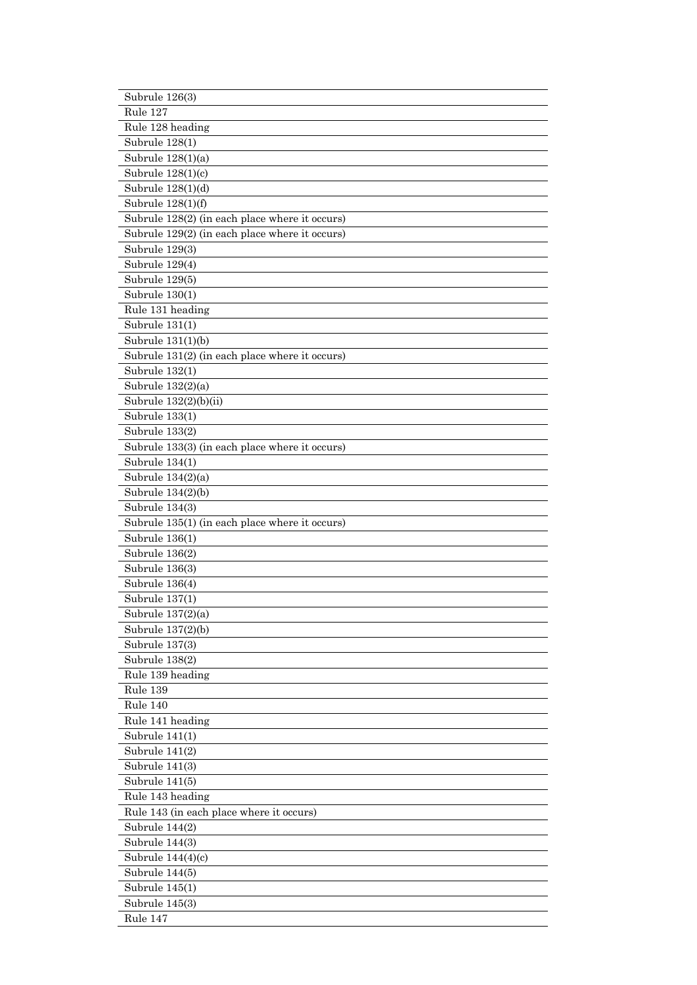| Subrule 126(3)                                 |
|------------------------------------------------|
| Rule 127                                       |
| Rule 128 heading                               |
| Subrule 128(1)                                 |
| Subrule 128(1)(a)                              |
| Subrule $128(1)(c)$                            |
| Subrule $128(1)(d)$                            |
| Subrule 128(1)(f)                              |
| Subrule 128(2) (in each place where it occurs) |
| Subrule 129(2) (in each place where it occurs) |
| Subrule 129(3)                                 |
| Subrule 129(4)                                 |
| Subrule 129(5)                                 |
| Subrule 130(1)                                 |
| Rule 131 heading                               |
| Subrule 131(1)                                 |
| Subrule $131(1)(b)$                            |
|                                                |
| Subrule 131(2) (in each place where it occurs) |
| Subrule 132(1)                                 |
| Subrule $132(2)(a)$                            |
| Subrule 132(2)(b)(ii)                          |
| Subrule 133(1)                                 |
| Subrule 133(2)                                 |
| Subrule 133(3) (in each place where it occurs) |
| Subrule 134(1)                                 |
| Subrule $134(2)(a)$                            |
| Subrule $134(2)(b)$                            |
| Subrule 134(3)                                 |
| Subrule 135(1) (in each place where it occurs) |
| Subrule 136(1)                                 |
| Subrule 136(2)                                 |
| Subrule 136(3)                                 |
| Subrule 136(4)                                 |
| Subrule 137(1)                                 |
| Subrule 137(2)(a)                              |
| Subrule 137(2)(b)                              |
| Subrule 137(3)                                 |
| Subrule 138(2)                                 |
| Rule 139 heading                               |
| Rule 139                                       |
| Rule 140                                       |
| Rule 141 heading                               |
| Subrule $141(1)$                               |
| Subrule 141(2)                                 |
| Subrule 141(3)<br>Subrule 141(5)               |
|                                                |
| Rule 143 heading                               |
| Rule 143 (in each place where it occurs)       |
| Subrule $144(2)$                               |
| Subrule 144(3)                                 |
| Subrule $144(4)(c)$                            |
| Subrule 144(5)                                 |
| Subrule $145(1)$                               |
| Subrule $145(3)$                               |
| Rule 147                                       |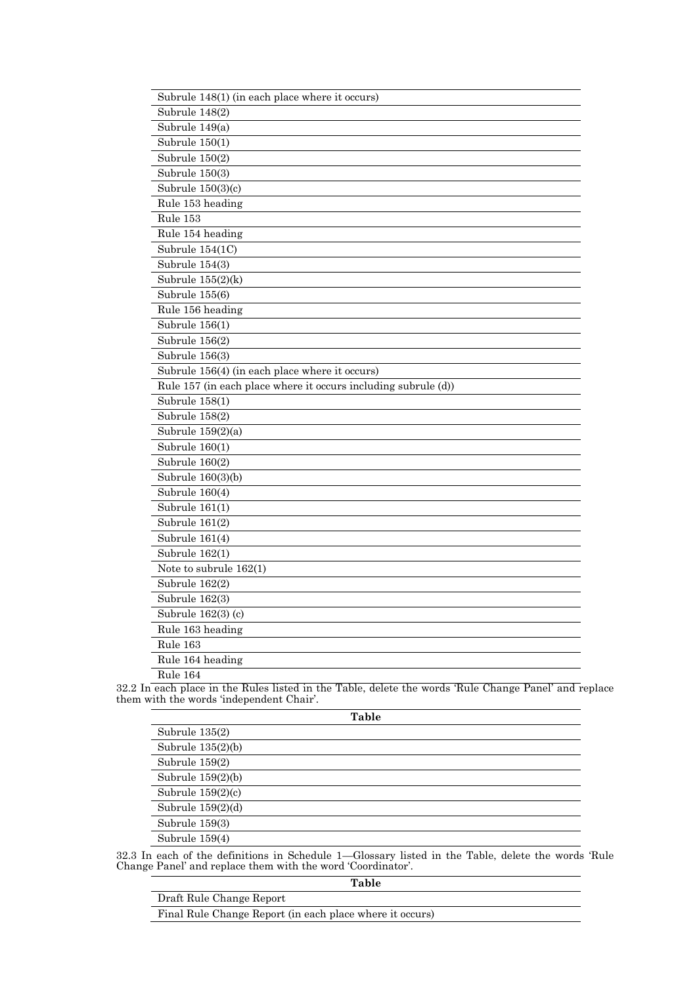| Subrule 148(1) (in each place where it occurs)                 |
|----------------------------------------------------------------|
| Subrule 148(2)                                                 |
| Subrule 149(a)                                                 |
| Subrule $150(1)$                                               |
| Subrule $150(2)$                                               |
| Subrule $150(3)$                                               |
| Subrule $150(3)(c)$                                            |
| Rule 153 heading                                               |
| Rule 153                                                       |
| Rule 154 heading                                               |
| Subrule $154(1C)$                                              |
| Subrule 154(3)                                                 |
| Subrule $155(2)(k)$                                            |
| Subrule 155(6)                                                 |
| Rule 156 heading                                               |
| Subrule 156(1)                                                 |
| Subrule 156(2)                                                 |
| Subrule 156(3)                                                 |
| Subrule 156(4) (in each place where it occurs)                 |
| Rule 157 (in each place where it occurs including subrule (d)) |
| Subrule 158(1)                                                 |
| Subrule 158(2)                                                 |
| Subrule 159(2)(a)                                              |
| Subrule $160(1)$                                               |
| Subrule 160(2)                                                 |
| Subrule $160(3)(b)$                                            |
| Subrule 160(4)                                                 |
| Subrule $161(1)$                                               |
| Subrule 161(2)                                                 |
| Subrule 161(4)                                                 |
| Subrule 162(1)                                                 |
| Note to subrule $162(1)$                                       |
| Subrule 162(2)                                                 |
| Subrule 162(3)                                                 |
| Subrule 162(3) (c)                                             |
| Rule 163 heading                                               |
| Rule 163                                                       |
| Rule 164 heading                                               |
| Rule 164                                                       |

32.2 In each place in the Rules listed in the Table, delete the words 'Rule Change Panel' and replace them with the words 'independent Chair'.

| Table               |
|---------------------|
| Subrule 135(2)      |
| Subrule $135(2)(b)$ |
| Subrule 159(2)      |
| Subrule $159(2)(b)$ |
| Subrule $159(2)(c)$ |
| Subrule $159(2)(d)$ |
| Subrule 159(3)      |
| Subrule 159(4)      |

32.3 In each of the definitions in Schedule 1—Glossary listed in the Table, delete the words 'Rule Change Panel' and replace them with the word 'Coordinator'.

| Table                                                    |
|----------------------------------------------------------|
| Draft Rule Change Report                                 |
| Final Rule Change Report (in each place where it occurs) |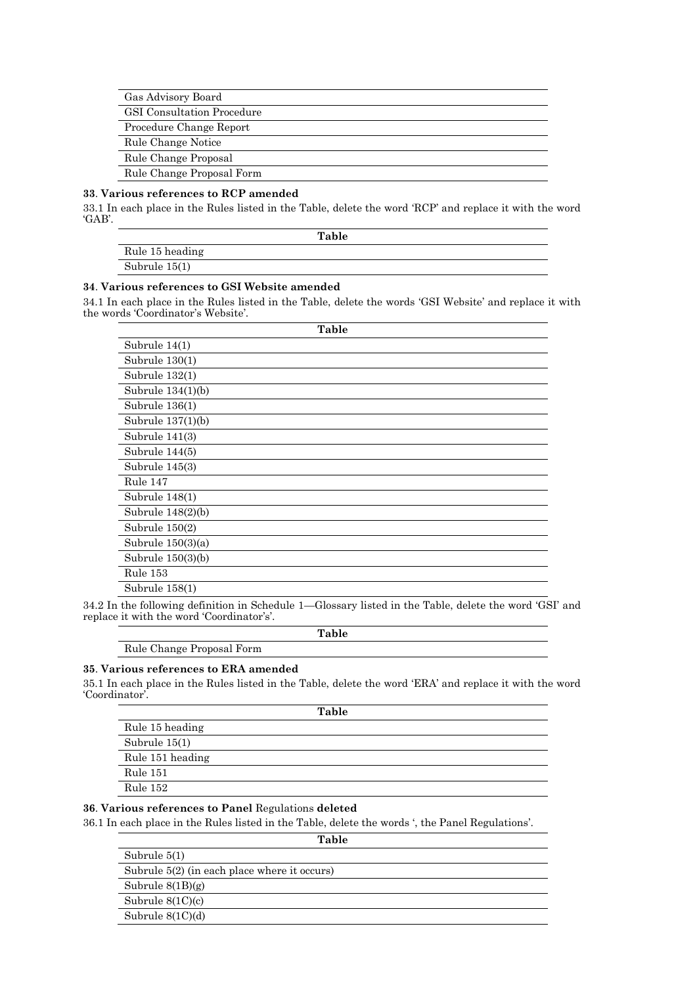| Gas Advisory Board                |
|-----------------------------------|
| <b>GSI</b> Consultation Procedure |
| Procedure Change Report           |
| Rule Change Notice                |
| Rule Change Proposal              |
| Rule Change Proposal Form         |

# **33**. **Various references to RCP amended**

33.1 In each place in the Rules listed in the Table, delete the word 'RCP' and replace it with the word 'GAB'.

|                 | Table |  |
|-----------------|-------|--|
| Rule 15 heading |       |  |
| Subrule $15(1)$ |       |  |

# **34**. **Various references to GSI Website amended**

34.1 In each place in the Rules listed in the Table, delete the words 'GSI Website' and replace it with the words 'Coordinator's Website'.

| Table               |
|---------------------|
| Subrule 14(1)       |
| Subrule $130(1)$    |
| Subrule 132(1)      |
| Subrule 134(1)(b)   |
| Subrule $136(1)$    |
| Subrule $137(1)(b)$ |
| Subrule $141(3)$    |
| Subrule 144(5)      |
| Subrule 145(3)      |
| Rule 147            |
| Subrule 148(1)      |
| Subrule $148(2)(b)$ |
| Subrule $150(2)$    |
| Subrule $150(3)(a)$ |
| Subrule $150(3)(b)$ |
| Rule 153            |
| Subrule 158(1)      |

34.2 In the following definition in Schedule 1—Glossary listed in the Table, delete the word 'GSI' and replace it with the word 'Coordinator's'.

**Table**

# Rule Change Proposal Form

#### **35**. **Various references to ERA amended**

35.1 In each place in the Rules listed in the Table, delete the word 'ERA' and replace it with the word 'Coordinator'.

| Table            |
|------------------|
| Rule 15 heading  |
| Subrule $15(1)$  |
| Rule 151 heading |
| Rule 151         |
| Rule 152         |
|                  |

# **36**. **Various references to Panel** Regulations **deleted**

36.1 In each place in the Rules listed in the Table, delete the words ', the Panel Regulations'.

| Table                                          |  |
|------------------------------------------------|--|
| Subrule $5(1)$                                 |  |
| Subrule $5(2)$ (in each place where it occurs) |  |
| Subrule $8(1B)(g)$                             |  |
| Subrule $8(1C)(c)$                             |  |
| Subrule $8(1C)(d)$                             |  |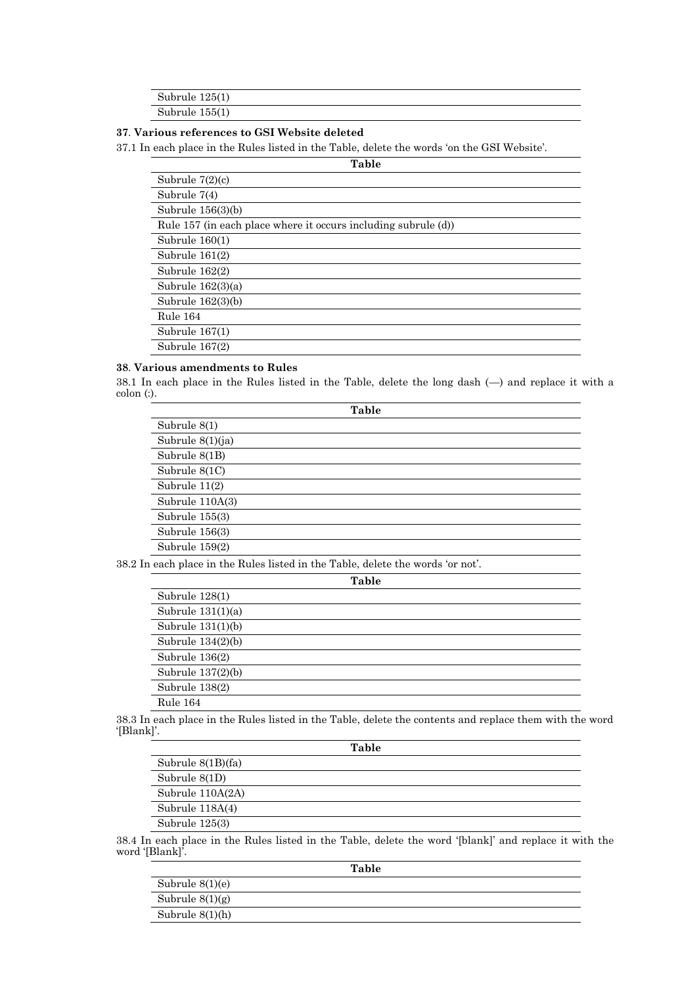| Subrule $125(1)$ |  |  |
|------------------|--|--|
| Subrule $155(1)$ |  |  |

# **37**. **Various references to GSI Website deleted**

37.1 In each place in the Rules listed in the Table, delete the words 'on the GSI Website'.

| Table                                                          |
|----------------------------------------------------------------|
| Subrule $7(2)(c)$                                              |
| Subrule $7(4)$                                                 |
| Subrule $156(3)(b)$                                            |
| Rule 157 (in each place where it occurs including subrule (d)) |
| Subrule $160(1)$                                               |
| Subrule $161(2)$                                               |
| Subrule $162(2)$                                               |
| Subrule $162(3)(a)$                                            |
| Subrule $162(3)(b)$                                            |
| Rule 164                                                       |
| Subrule $167(1)$                                               |
| Subrule $167(2)$                                               |

# **38**. **Various amendments to Rules**

38.1 In each place in the Rules listed in the Table, delete the long dash (—) and replace it with a colon (:).

| Table             |  |
|-------------------|--|
| Subrule $8(1)$    |  |
| Subrule 8(1)(ja)  |  |
| Subrule 8(1B)     |  |
| Subrule 8(1C)     |  |
| Subrule 11(2)     |  |
| Subrule $110A(3)$ |  |
| Subrule 155(3)    |  |
| Subrule 156(3)    |  |
| Subrule 159(2)    |  |

38.2 In each place in the Rules listed in the Table, delete the words 'or not'.

| <b>Table</b>        |
|---------------------|
| Subrule 128(1)      |
| Subrule $131(1)(a)$ |
| Subrule $131(1)(b)$ |
| Subrule $134(2)(b)$ |
| Subrule $136(2)$    |
| Subrule $137(2)(b)$ |
| Subrule 138(2)      |
| Rule 164            |
|                     |

38.3 In each place in the Rules listed in the Table, delete the contents and replace them with the word '[Blank]'.

| Table               |
|---------------------|
| Subrule $8(1B)(fa)$ |
| Subrule 8(1D)       |
| Subrule 110A(2A)    |
| Subrule 118A(4)     |
| Subrule $125(3)$    |

38.4 In each place in the Rules listed in the Table, delete the word '[blank]' and replace it with the word '[Blank]'.

|                   | Table |
|-------------------|-------|
| Subrule $8(1)(e)$ |       |
| Subrule $8(1)(g)$ |       |
| Subrule $8(1)(h)$ |       |